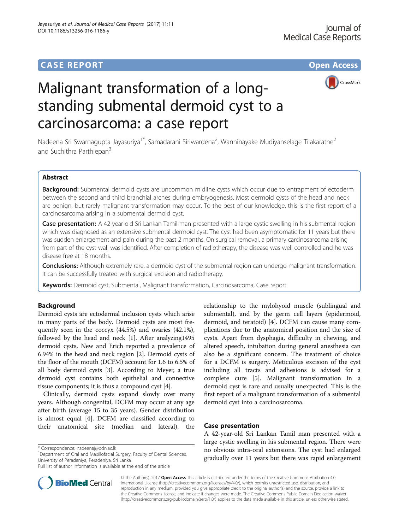# **CASE REPORT CASE REPORT CASE REPORT**



# Malignant transformation of a longstanding submental dermoid cyst to a carcinosarcoma: a case report

Nadeena Sri Swarnagupta Jayasuriya<sup>1\*</sup>, Samadarani Siriwardena<sup>2</sup>, Wanninayake Mudiyanselage Tilakaratne<sup>2</sup> and Suchithra Parthiepan<sup>3</sup>

# Abstract

Background: Submental dermoid cysts are uncommon midline cysts which occur due to entrapment of ectoderm between the second and third branchial arches during embryogenesis. Most dermoid cysts of the head and neck are benign, but rarely malignant transformation may occur. To the best of our knowledge, this is the first report of a carcinosarcoma arising in a submental dermoid cyst.

Case presentation: A 42-year-old Sri Lankan Tamil man presented with a large cystic swelling in his submental region which was diagnosed as an extensive submental dermoid cyst. The cyst had been asymptomatic for 11 years but there was sudden enlargement and pain during the past 2 months. On surgical removal, a primary carcinosarcoma arising from part of the cyst wall was identified. After completion of radiotherapy, the disease was well controlled and he was disease free at 18 months.

Conclusions: Although extremely rare, a dermoid cyst of the submental region can undergo malignant transformation. It can be successfully treated with surgical excision and radiotherapy.

Keywords: Dermoid cyst, Submental, Malignant transformation, Carcinosarcoma, Case report

# Background

Dermoid cysts are ectodermal inclusion cysts which arise in many parts of the body. Dermoid cysts are most frequently seen in the coccyx (44.5%) and ovaries (42.1%), followed by the head and neck [[1](#page-2-0)]. After analyzing1495 dermoid cysts, New and Erich reported a prevalence of 6.94% in the head and neck region [[2\]](#page-2-0). Dermoid cysts of the floor of the mouth (DCFM) account for 1.6 to 6.5% of all body dermoid cysts [\[3\]](#page-2-0). According to Meyer, a true dermoid cyst contains both epithelial and connective tissue components; it is thus a compound cyst [[4\]](#page-2-0).

Clinically, dermoid cysts expand slowly over many years. Although congenital, DCFM may occur at any age after birth (average 15 to 35 years). Gender distribution is almost equal [\[4\]](#page-2-0). DCFM are classified according to their anatomical site (median and lateral), the

\* Correspondence: [nadeenaj@pdn.ac.lk](mailto:nadeenaj@pdn.ac.lk) <sup>1</sup>

<sup>1</sup>Department of Oral and Maxillofacial Surgery, Faculty of Dental Sciences, University of Peradeniya, Peradeniya, Sri Lanka



# Case presentation

A 42-year-old Sri Lankan Tamil man presented with a large cystic swelling in his submental region. There were no obvious intra-oral extensions. The cyst had enlarged gradually over 11 years but there was rapid enlargement



© The Author(s). 2017 **Open Access** This article is distributed under the terms of the Creative Commons Attribution 4.0 International License [\(http://creativecommons.org/licenses/by/4.0/](http://creativecommons.org/licenses/by/4.0/)), which permits unrestricted use, distribution, and reproduction in any medium, provided you give appropriate credit to the original author(s) and the source, provide a link to the Creative Commons license, and indicate if changes were made. The Creative Commons Public Domain Dedication waiver [\(http://creativecommons.org/publicdomain/zero/1.0/](http://creativecommons.org/publicdomain/zero/1.0/)) applies to the data made available in this article, unless otherwise stated.

Full list of author information is available at the end of the article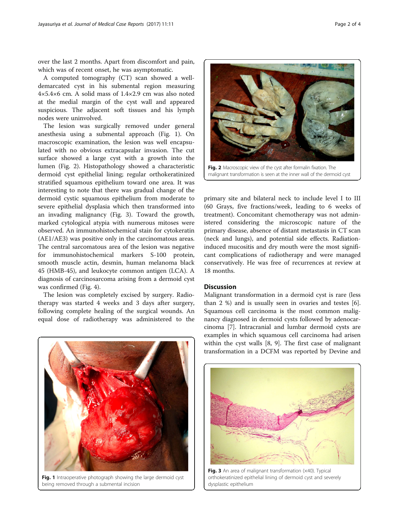over the last 2 months. Apart from discomfort and pain, which was of recent onset, he was asymptomatic.

A computed tomography (CT) scan showed a welldemarcated cyst in his submental region measuring 4×5.4×6 cm. A solid mass of 1.4×2.9 cm was also noted at the medial margin of the cyst wall and appeared suspicious. The adjacent soft tissues and his lymph nodes were uninvolved.

The lesion was surgically removed under general anesthesia using a submental approach (Fig. 1). On macroscopic examination, the lesion was well encapsulated with no obvious extracapsular invasion. The cut surface showed a large cyst with a growth into the lumen (Fig. 2). Histopathology showed a characteristic dermoid cyst epithelial lining; regular orthokeratinized stratified squamous epithelium toward one area. It was interesting to note that there was gradual change of the dermoid cystic squamous epithelium from moderate to severe epithelial dysplasia which then transformed into an invading malignancy (Fig. 3). Toward the growth, marked cytological atypia with numerous mitoses were observed. An immunohistochemical stain for cytokeratin (AE1/AE3) was positive only in the carcinomatous areas. The central sarcomatous area of the lesion was negative for immunohistochemical markers S-100 protein, smooth muscle actin, desmin, human melanoma black 45 (HMB-45), and leukocyte common antigen (LCA). A diagnosis of carcinosarcoma arising from a dermoid cyst was confirmed (Fig. [4](#page-2-0)).

The lesion was completely excised by surgery. Radiotherapy was started 4 weeks and 3 days after surgery, following complete healing of the surgical wounds. An equal dose of radiotherapy was administered to the



primary site and bilateral neck to include level I to III (60 Grays, five fractions/week, leading to 6 weeks of treatment). Concomitant chemotherapy was not administered considering the microscopic nature of the primary disease, absence of distant metastasis in CT scan (neck and lungs), and potential side effects. Radiationinduced mucositis and dry mouth were the most significant complications of radiotherapy and were managed conservatively. He was free of recurrences at review at 18 months.

# **Discussion**

Malignant transformation in a dermoid cyst is rare (less than 2 %) and is usually seen in ovaries and testes [\[6](#page-2-0)]. Squamous cell carcinoma is the most common malignancy diagnosed in dermoid cysts followed by adenocarcinoma [[7](#page-3-0)]. Intracranial and lumbar dermoid cysts are examples in which squamous cell carcinoma had arisen within the cyst walls [[8, 9\]](#page-3-0). The first case of malignant transformation in a DCFM was reported by Devine and



Fig. 1 Intraoperative photograph showing the large dermoid cyst being removed through a submental incision



Fig. 3 An area of malignant transformation (x40). Typical orthokeratinized epithelial lining of dermoid cyst and severely dysplastic epithelium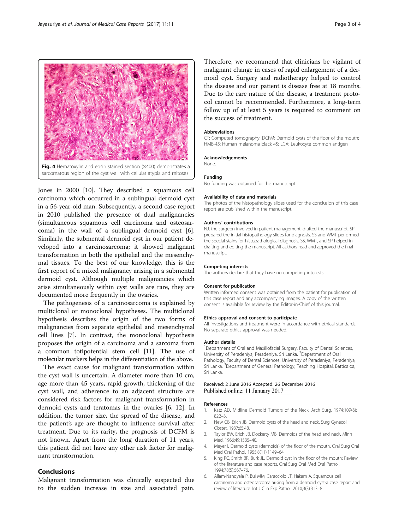<span id="page-2-0"></span>

Jones in 2000 [[10\]](#page-3-0). They described a squamous cell carcinoma which occurred in a sublingual dermoid cyst in a 56-year-old man. Subsequently, a second case report in 2010 published the presence of dual malignancies (simultaneous squamous cell carcinoma and osteosarcoma) in the wall of a sublingual dermoid cyst [6]. Similarly, the submental dermoid cyst in our patient developed into a carcinosarcoma; it showed malignant transformation in both the epithelial and the mesenchymal tissues. To the best of our knowledge, this is the first report of a mixed malignancy arising in a submental dermoid cyst. Although multiple malignancies which arise simultaneously within cyst walls are rare, they are documented more frequently in the ovaries.

The pathogenesis of a carcinosarcoma is explained by multiclonal or monoclonal hypotheses. The multiclonal hypothesis describes the origin of the two forms of malignancies from separate epithelial and mesenchymal cell lines [[7\]](#page-3-0). In contrast, the monoclonal hypothesis proposes the origin of a carcinoma and a sarcoma from a common totipotential stem cell [[11](#page-3-0)]. The use of molecular markers helps in the differentiation of the above.

The exact cause for malignant transformation within the cyst wall is uncertain. A diameter more than 10 cm, age more than 45 years, rapid growth, thickening of the cyst wall, and adherence to an adjacent structure are considered risk factors for malignant transformation in dermoid cysts and teratomas in the ovaries [6, [12\]](#page-3-0). In addition, the tumor size, the spread of the disease, and the patient's age are thought to influence survival after treatment. Due to its rarity, the prognosis of DCFM is not known. Apart from the long duration of 11 years, this patient did not have any other risk factor for malignant transformation.

# Conclusions

Malignant transformation was clinically suspected due to the sudden increase in size and associated pain.

Therefore, we recommend that clinicians be vigilant of malignant change in cases of rapid enlargement of a dermoid cyst. Surgery and radiotherapy helped to control the disease and our patient is disease free at 18 months. Due to the rare nature of the disease, a treatment protocol cannot be recommended. Furthermore, a long-term follow up of at least 5 years is required to comment on the success of treatment.

#### Abbreviations

CT: Computed tomography; DCFM: Dermoid cysts of the floor of the mouth; HMB-45: Human melanoma black 45; LCA: Leukocyte common antigen

#### Acknowledgements

None.

## Funding

No funding was obtained for this manuscript.

#### Availability of data and materials

The photos of the histopathology slides used for the conclusion of this case report are published within the manuscript.

#### Authors' contributions

NJ, the surgeon involved in patient management, drafted the manuscript. SP prepared the initial histopathology slides for diagnosis. SS and WMT performed the special stains for histopathological diagnosis. SS, WMT, and SP helped in drafting and editing the manuscript. All authors read and approved the final manuscript.

### Competing interests

The authors declare that they have no competing interests.

#### Consent for publication

Written informed consent was obtained from the patient for publication of this case report and any accompanying images. A copy of the written consent is available for review by the Editor-in-Chief of this journal.

#### Ethics approval and consent to participate

All investigations and treatment were in accordance with ethical standards. No separate ethics approval was needed.

#### Author details

<sup>1</sup>Department of Oral and Maxillofacial Surgery, Faculty of Dental Sciences, University of Peradeniya, Peradeniya, Sri Lanka. <sup>2</sup>Department of Oral Pathology, Faculty of Dental Sciences, University of Peradeniya, Peradeniya, Sri Lanka. <sup>3</sup>Department of General Pathology, Teaching Hospital, Batticaloa, Sri Lanka.

## Received: 2 June 2016 Accepted: 26 December 2016 Published online: 11 January 2017

## References

- 1. Katz AD. Midline Dermoid Tumors of the Neck. Arch Surg. 1974;109(6): 822–3.
- 2. New GB, Erich JB. Dermoid cysts of the head and neck. Surg Gynecol Obstet. 1937;65:48.
- Taylor BW, Erich JB, Dockerty MB. Dermoids of the head and neck. Minn Med. 1966;49:1535–40.
- 4. Meyer I. Dermoid cysts (dermoids) of the floor of the mouth. Oral Surg Oral Med Oral Pathol. 1955;8(11):1149–64.
- 5. King RC, Smith BR, Burk JL. Dermoid cyst in the floor of the mouth: Review of the literature and case reports. Oral Surg Oral Med Oral Pathol. 1994;78(5):567–76.
- 6. Allam-Nandyala P, Bui MM, Caracciolo JT, Hakam A. Squamous cell carcinoma and osteosarcoma arising from a dermoid cyst-a case report and review of literature. Int J Clin Exp Pathol. 2010;3(3):313–8.